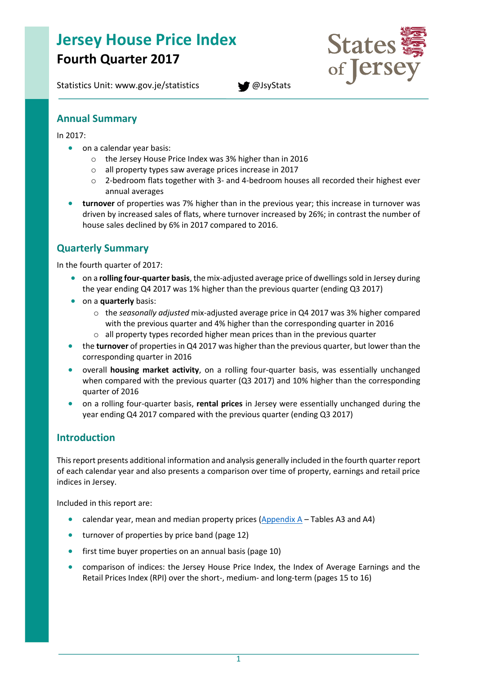# **Jersey House Price Index Fourth Quarter 2017**



Statistics Unit: www.gov.je/statistics **[@JsyStats](http://www.twitter.com/JsyStats)** 



### **Annual Summary**

In 2017:

- on a calendar year basis:
	- o the Jersey House Price Index was 3% higher than in 2016
	- o all property types saw average prices increase in 2017
	- $\circ$  2-bedroom flats together with 3- and 4-bedroom houses all recorded their highest ever annual averages
- **turnover** of properties was 7% higher than in the previous year; this increase in turnover was driven by increased sales of flats, where turnover increased by 26%; in contrast the number of house sales declined by 6% in 2017 compared to 2016.

### **Quarterly Summary**

In the fourth quarter of 2017:

- on a **rolling four-quarter basis**, the mix-adjusted average price of dwellings sold in Jersey during the year ending Q4 2017 was 1% higher than the previous quarter (ending Q3 2017)
- **•** on a **quarterly** basis:
	- o the *seasonally adjusted* mix-adjusted average price in Q4 2017 was 3% higher compared with the previous quarter and 4% higher than the corresponding quarter in 2016
	- $\circ$  all property types recorded higher mean prices than in the previous quarter
- the **turnover** of properties in Q4 2017 was higher than the previous quarter, but lower than the corresponding quarter in 2016
- overall **housing market activity**, on a rolling four-quarter basis, was essentially unchanged when compared with the previous quarter (Q3 2017) and 10% higher than the corresponding quarter of 2016
- on a rolling four-quarter basis, **rental prices** in Jersey were essentially unchanged during the year ending Q4 2017 compared with the previous quarter (ending Q3 2017)

### **Introduction**

This report presents additional information and analysis generally included in the fourth quarter report of each calendar year and also presents a comparison over time of property, earnings and retail price indices in Jersey.

Included in this report are:

- calendar year, mean and median property prices [\(Appendix A](#page-18-0) Tables A3 and A4)
- turnover of properties by price band (page 12)
- first time buyer properties on an annual basis (page 10)
- comparison of indices: the Jersey House Price Index, the Index of Average Earnings and the Retail Prices Index (RPI) over the short-, medium- and long-term (pages 15 to 16)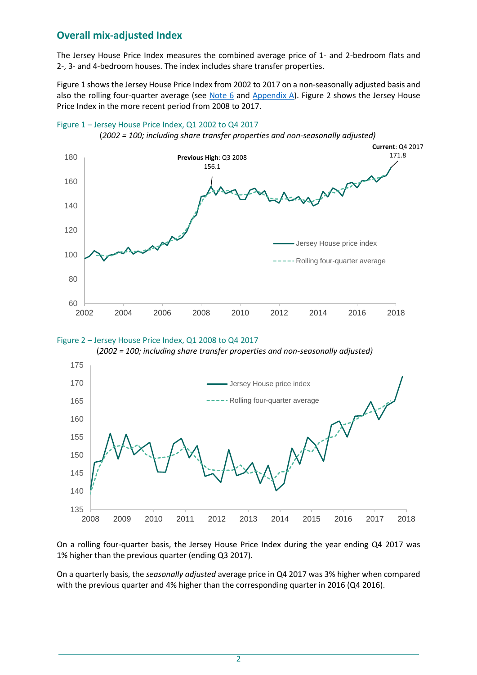### **Overall mix-adjusted Index**

135

140

The Jersey House Price Index measures the combined average price of 1- and 2-bedroom flats and 2-, 3- and 4-bedroom houses. The index includes share transfer properties.

Figure 1 shows the Jersey House Price Index from 2002 to 2017 on a non-seasonally adjusted basis and also the rolling four-quarter average (see [Note 6](#page-17-0) and [Appendix A\)](#page-18-0). Figure 2 shows the Jersey House Price Index in the more recent period from 2008 to 2017.



#### Figure 1 – Jersey House Price Index, Q1 2002 to Q4 2017

On a rolling four-quarter basis, the Jersey House Price Index during the year ending Q4 2017 was 1% higher than the previous quarter (ending Q3 2017).

2008 2009 2010 2011 2012 2013 2014 2015 2016 2017 2018

On a quarterly basis, the *seasonally adjusted* average price in Q4 2017 was 3% higher when compared with the previous quarter and 4% higher than the corresponding quarter in 2016 (Q4 2016).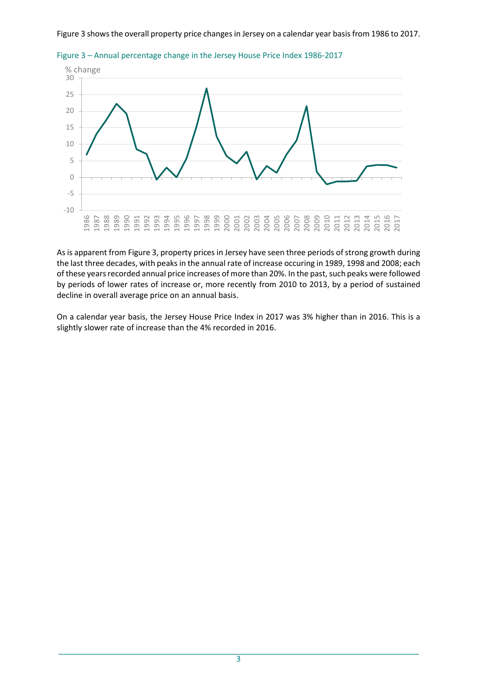Figure 3 shows the overall property price changes in Jersey on a calendar year basis from 1986 to 2017.



Figure 3 – Annual percentage change in the Jersey House Price Index 1986-2017

As is apparent from Figure 3, property prices in Jersey have seen three periods of strong growth during the last three decades, with peaks in the annual rate of increase occuring in 1989, 1998 and 2008; each of these years recorded annual price increases of more than 20%. In the past, such peaks were followed by periods of lower rates of increase or, more recently from 2010 to 2013, by a period of sustained decline in overall average price on an annual basis.

On a calendar year basis, the Jersey House Price Index in 2017 was 3% higher than in 2016. This is a slightly slower rate of increase than the 4% recorded in 2016.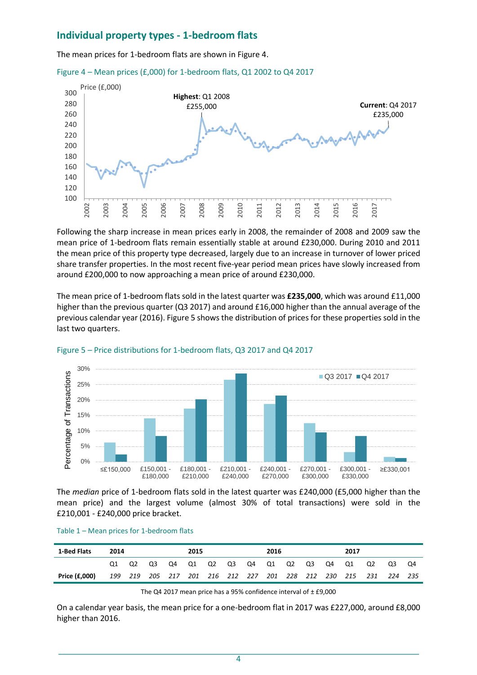### **Individual property types - 1-bedroom flats**

The mean prices for 1-bedroom flats are shown in Figure 4.





Following the sharp increase in mean prices early in 2008, the remainder of 2008 and 2009 saw the mean price of 1-bedroom flats remain essentially stable at around £230,000. During 2010 and 2011 the mean price of this property type decreased, largely due to an increase in turnover of lower priced share transfer properties. In the most recent five-year period mean prices have slowly increased from around £200,000 to now approaching a mean price of around £230,000.

The mean price of 1-bedroom flats sold in the latest quarter was **£235,000**, which was around £11,000 higher than the previous quarter (Q3 2017) and around £16,000 higher than the annual average of the previous calendar year (2016). Figure 5 shows the distribution of prices for these properties sold in the last two quarters.





The *median* price of 1-bedroom flats sold in the latest quarter was £240,000 (£5,000 higher than the mean price) and the largest volume (almost 30% of total transactions) were sold in the £210,001 - £240,000 price bracket.

#### Table 1 – Mean prices for 1-bedroom flats

| 1-Bed Flats          | 2014 |                             |    |    | 2015 |    |    |    | 2016 |                 |    | 2017 |     |      |     |      |
|----------------------|------|-----------------------------|----|----|------|----|----|----|------|-----------------|----|------|-----|------|-----|------|
|                      |      | Q2                          | O3 | Q4 | Q1   | Q2 | Q3 | Q4 | Q1   | Q2              | Q3 | Q4   | Q1  | Q2   | Q3  | Q4   |
| <b>Price (£,000)</b> | 199  | 219 205 217 201 216 212 227 |    |    |      |    |    |    |      | 201 228 212 230 |    |      | 215 | -231 | 224 | -235 |

The Q4 2017 mean price has a 95% confidence interval of  $\pm$  £9,000

On a calendar year basis, the mean price for a one-bedroom flat in 2017 was £227,000, around £8,000 higher than 2016.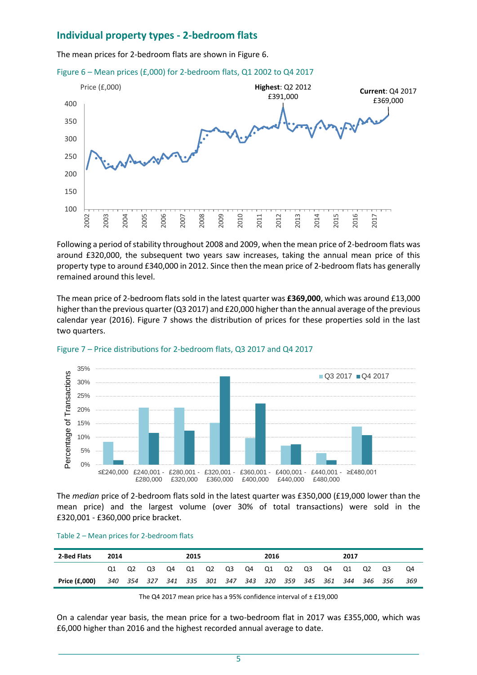### **Individual property types - 2-bedroom flats**

The mean prices for 2-bedroom flats are shown in Figure 6.





Following a period of stability throughout 2008 and 2009, when the mean price of 2-bedroom flats was around £320,000, the subsequent two years saw increases, taking the annual mean price of this property type to around £340,000 in 2012. Since then the mean price of 2-bedroom flats has generally remained around this level.

The mean price of 2-bedroom flats sold in the latest quarter was **£369,000**, which was around £13,000 higher than the previous quarter (Q3 2017) and £20,000 higher than the annual average of the previous calendar year (2016). Figure 7 shows the distribution of prices for these properties sold in the last two quarters.



#### Figure 7 – Price distributions for 2-bedroom flats, Q3 2017 and Q4 2017

The *median* price of 2-bedroom flats sold in the latest quarter was £350,000 (£19,000 lower than the mean price) and the largest volume (over 30% of total transactions) were sold in the £320,001 - £360,000 price bracket.

| 2-Bed Flats   | 2014 |    |    |    | 2015 |    |                                         | 2016 |    |    |    | 2017 |     |                |    |     |
|---------------|------|----|----|----|------|----|-----------------------------------------|------|----|----|----|------|-----|----------------|----|-----|
|               |      | Q2 | O3 | Q4 | Q1   | Q2 | Q3                                      | Q4   | Q1 | Q2 | Q3 | Q4   | Q1  | Q <sub>2</sub> | O3 | Q4  |
| Price (£,000) | 340  |    |    |    |      |    | 354 327 341 335 301 347 343 320 359 345 |      |    |    |    | 361  | 344 | 346 356        |    | 369 |

#### Table 2 – Mean prices for 2-bedroom flats

The Q4 2017 mean price has a 95% confidence interval of ± £19,000

On a calendar year basis, the mean price for a two-bedroom flat in 2017 was £355,000, which was £6,000 higher than 2016 and the highest recorded annual average to date.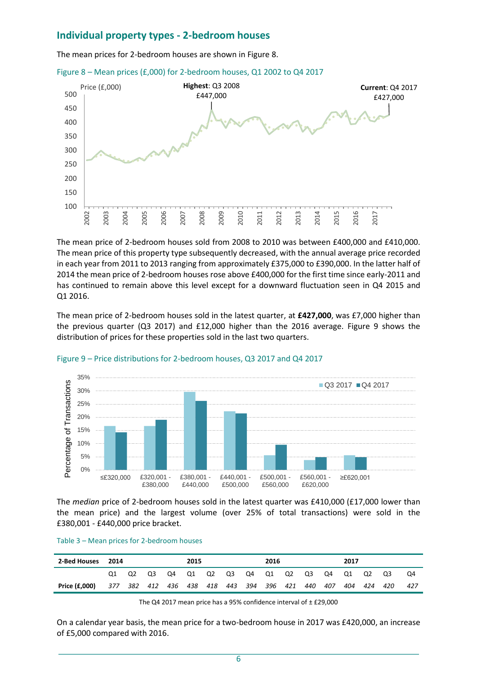### **Individual property types - 2-bedroom houses**

The mean prices for 2-bedroom houses are shown in Figure 8.

Figure 8 – Mean prices (£,000) for 2-bedroom houses, Q1 2002 to Q4 2017



The mean price of 2-bedroom houses sold from 2008 to 2010 was between £400,000 and £410,000. The mean price of this property type subsequently decreased, with the annual average price recorded in each year from 2011 to 2013 ranging from approximately £375,000 to £390,000. In the latter half of 2014 the mean price of 2-bedroom houses rose above £400,000 for the first time since early-2011 and has continued to remain above this level except for a downward fluctuation seen in Q4 2015 and Q1 2016.

The mean price of 2-bedroom houses sold in the latest quarter, at **£427,000**, was £7,000 higher than the previous quarter (Q3 2017) and £12,000 higher than the 2016 average. Figure 9 shows the distribution of prices for these properties sold in the last two quarters.



#### Figure 9 – Price distributions for 2-bedroom houses, Q3 2017 and Q4 2017

The *median* price of 2-bedroom houses sold in the latest quarter was £410,000 (£17,000 lower than the mean price) and the largest volume (over 25% of total transactions) were sold in the £380,001 - £440,000 price bracket.

#### Table 3 – Mean prices for 2-bedroom houses

| 2-Bed Houses         | 2014 |                |    |                         | 2015 |    |    |    | 2016    |    |     | 2017 |     |     |     |     |
|----------------------|------|----------------|----|-------------------------|------|----|----|----|---------|----|-----|------|-----|-----|-----|-----|
|                      |      | O <sub>2</sub> | O3 | Q4                      | Q1   | Q2 | Q3 | Q4 | Q1      | Q2 | Q3  | Q4   | O1  | Q2  | O3  | Q4  |
| <b>Price (£,000)</b> | 377  | 382            |    | 412 436 438 418 443 394 |      |    |    |    | 396 421 |    | 440 | 407  | 404 | 424 | 420 | 427 |

The Q4 2017 mean price has a 95% confidence interval of  $\pm$  £29,000

On a calendar year basis, the mean price for a two-bedroom house in 2017 was £420,000, an increase of £5,000 compared with 2016.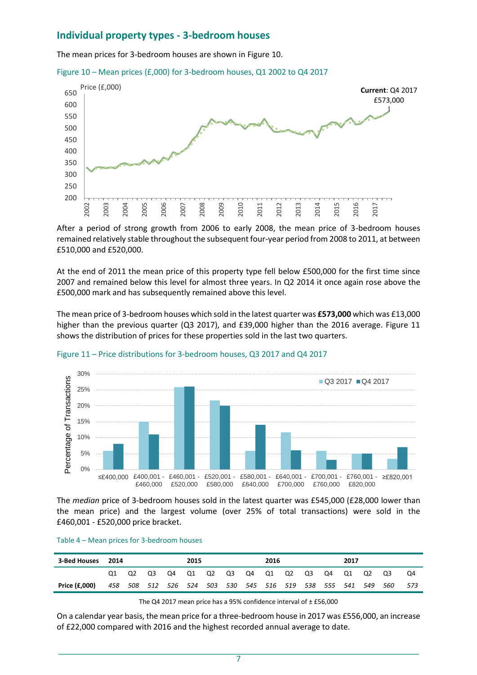### **Individual property types - 3-bedroom houses**

The mean prices for 3-bedroom houses are shown in Figure 10.





After a period of strong growth from 2006 to early 2008, the mean price of 3-bedroom houses remained relatively stable throughout the subsequent four-year period from 2008 to 2011, at between £510,000 and £520,000.

At the end of 2011 the mean price of this property type fell below £500,000 for the first time since 2007 and remained below this level for almost three years. In Q2 2014 it once again rose above the £500,000 mark and has subsequently remained above this level.

The mean price of 3-bedroom houses which sold in the latest quarter was **£573,000** which was £13,000 higher than the previous quarter (Q3 2017), and £39,000 higher than the 2016 average. Figure 11 shows the distribution of prices for these properties sold in the last two quarters.



Figure 11 – Price distributions for 3-bedroom houses, Q3 2017 and Q4 2017

The *median* price of 3-bedroom houses sold in the latest quarter was £545,000 (£28,000 lower than the mean price) and the largest volume (over 25% of total transactions) were sold in the £460,001 - £520,000 price bracket.

#### Table 4 – Mean prices for 3-bedroom houses

| 3-Bed Houses         | 2014 |                         |    |    | 2015 |    |    | 2016 |             |    |         | 2017 |     |     |     |     |
|----------------------|------|-------------------------|----|----|------|----|----|------|-------------|----|---------|------|-----|-----|-----|-----|
|                      |      | Q2                      | O3 | Q4 | Q1   | Q2 | Q3 | Q4   | Q1          | Q2 | Q3      | Q4   | -Q1 | Q2  | O3  | Q4  |
| <b>Price (£,000)</b> | 458  | 508 512 526 524 503 530 |    |    |      |    |    |      | 545 516 519 |    | 538 555 |      | 541 | 549 | 560 | 573 |

The Q4 2017 mean price has a 95% confidence interval of  $\pm$  £56,000

On a calendar year basis, the mean price for a three-bedroom house in 2017 was £556,000, an increase of £22,000 compared with 2016 and the highest recorded annual average to date.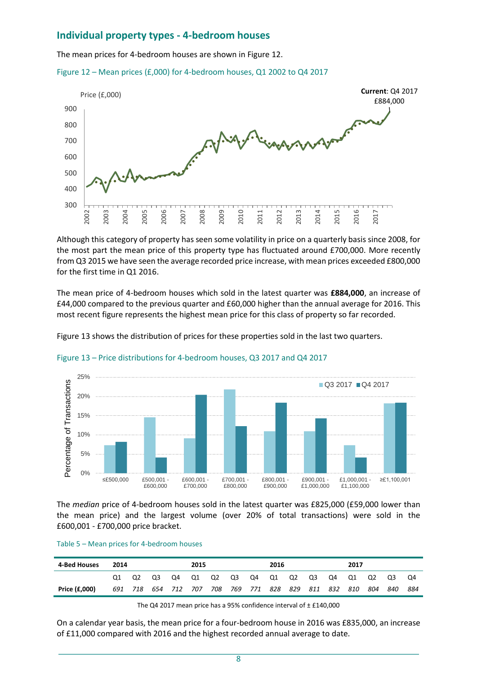### **Individual property types - 4-bedroom houses**

The mean prices for 4-bedroom houses are shown in Figure 12.





Although this category of property has seen some volatility in price on a quarterly basis since 2008, for the most part the mean price of this property type has fluctuated around £700,000. More recently from Q3 2015 we have seen the average recorded price increase, with mean prices exceeded £800,000 for the first time in Q1 2016.

The mean price of 4-bedroom houses which sold in the latest quarter was **£884,000**, an increase of £44,000 compared to the previous quarter and £60,000 higher than the annual average for 2016. This most recent figure represents the highest mean price for this class of property so far recorded.

Figure 13 shows the distribution of prices for these properties sold in the last two quarters.





The *median* price of 4-bedroom houses sold in the latest quarter was £825,000 (£59,000 lower than the mean price) and the largest volume (over 20% of total transactions) were sold in the £600,001 - £700,000 price bracket.

| Table 5 - Mean prices for 4-bedroom houses |  |  |  |
|--------------------------------------------|--|--|--|
|--------------------------------------------|--|--|--|

| 4-Bed Houses  | 2014 |  |                             |    | 2015 |    |    | 2016  |  |                 | 2017 |    |     |     |     |     |
|---------------|------|--|-----------------------------|----|------|----|----|-------|--|-----------------|------|----|-----|-----|-----|-----|
|               |      |  | O3                          | Q4 | Q1   | Q2 | Q3 | Q4 Q1 |  | Q <sub>2</sub>  | Q3   | Q4 | Q1  | Q2  | Q3  | Q4  |
| Price (£,000) | 691  |  | 718 654 712 707 708 769 771 |    |      |    |    |       |  | 828 829 811 832 |      |    | 810 | 804 | 840 | 884 |

The Q4 2017 mean price has a 95% confidence interval of ± £140,000

On a calendar year basis, the mean price for a four-bedroom house in 2016 was £835,000, an increase of £11,000 compared with 2016 and the highest recorded annual average to date.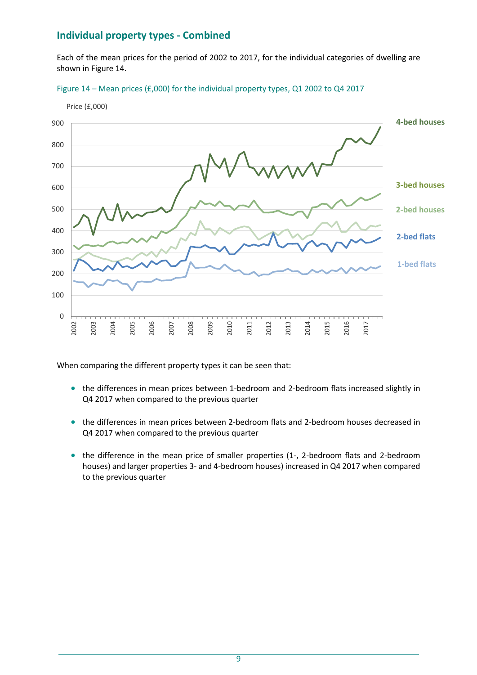### **Individual property types - Combined**

Each of the mean prices for the period of 2002 to 2017, for the individual categories of dwelling are shown in Figure 14.





When comparing the different property types it can be seen that:

- the differences in mean prices between 1-bedroom and 2-bedroom flats increased slightly in Q4 2017 when compared to the previous quarter
- the differences in mean prices between 2-bedroom flats and 2-bedroom houses decreased in Q4 2017 when compared to the previous quarter
- the difference in the mean price of smaller properties (1-, 2-bedroom flats and 2-bedroom houses) and larger properties 3- and 4-bedroom houses) increased in Q4 2017 when compared to the previous quarter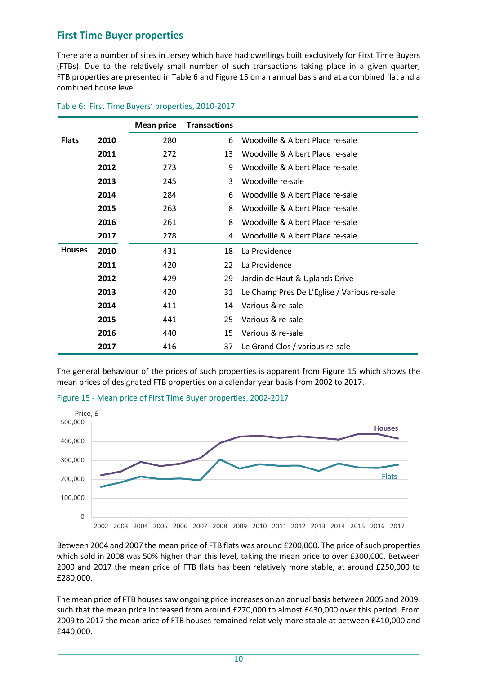### **First Time Buyer properties**

There are a number of sites in Jersey which have had dwellings built exclusively for First Time Buyers (FTBs). Due to the relatively small number of such transactions taking place in a given quarter, FTB properties are presented in Table 6 and Figure 15 on an annual basis and at a combined flat and a combined house level.

|               |      | <b>Mean price</b> | <b>Transactions</b> |                                             |
|---------------|------|-------------------|---------------------|---------------------------------------------|
| <b>Flats</b>  | 2010 | 280               | 6                   | Woodville & Albert Place re-sale            |
|               | 2011 | 272               | 13                  | Woodville & Albert Place re-sale            |
|               | 2012 | 273               | 9                   | Woodville & Albert Place re-sale            |
|               | 2013 | 245               | 3                   | Woodville re-sale                           |
|               | 2014 | 284               | 6                   | Woodville & Albert Place re-sale            |
|               | 2015 | 263               | 8                   | Woodville & Albert Place re-sale            |
|               | 2016 | 261               | 8                   | Woodville & Albert Place re-sale            |
|               | 2017 | 278               | 4                   | Woodville & Albert Place re-sale            |
| <b>Houses</b> | 2010 | 431               | 18                  | La Providence                               |
|               | 2011 | 420               | 22                  | La Providence                               |
|               | 2012 | 429               | 29                  | Jardin de Haut & Uplands Drive              |
|               | 2013 | 420               | 31                  | Le Champ Pres De L'Eglise / Various re-sale |
|               | 2014 | 411               | 14                  | Various & re-sale                           |
|               | 2015 | 441               | 25                  | Various & re-sale                           |
|               | 2016 | 440               | 15                  | Various & re-sale                           |
|               | 2017 | 416               | 37                  | Le Grand Clos / various re-sale             |

#### Table 6: First Time Buyers' properties, 2010-2017

The general behaviour of the prices of such properties is apparent from Figure 15 which shows the mean prices of designated FTB properties on a calendar year basis from 2002 to 2017.

Figure 15 - Mean price of First Time Buyer properties, 2002-2017



Between 2004 and 2007 the mean price of FTB flats was around £200,000. The price of such properties which sold in 2008 was 50% higher than this level, taking the mean price to over £300,000. Between 2009 and 2017 the mean price of FTB flats has been relatively more stable, at around £250,000 to £280,000.

The mean price of FTB houses saw ongoing price increases on an annual basis between 2005 and 2009, such that the mean price increased from around £270,000 to almost £430,000 over this period. From 2009 to 2017 the mean price of FTB houses remained relatively more stable at between £410,000 and £440,000.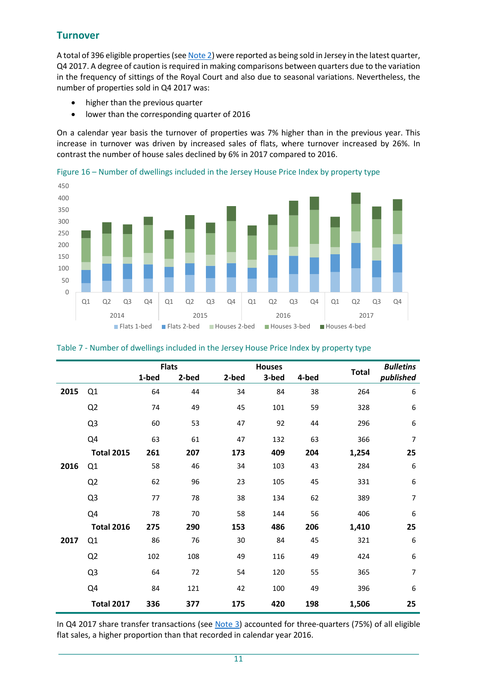### **Turnover**

A total of 396 eligible properties (see [Note 2\)](#page-16-0) were reported as being sold in Jersey in the latest quarter, Q4 2017. A degree of caution is required in making comparisons between quarters due to the variation in the frequency of sittings of the Royal Court and also due to seasonal variations. Nevertheless, the number of properties sold in Q4 2017 was:

- higher than the previous quarter
- lower than the corresponding quarter of 2016

On a calendar year basis the turnover of properties was 7% higher than in the previous year. This increase in turnover was driven by increased sales of flats, where turnover increased by 26%. In contrast the number of house sales declined by 6% in 2017 compared to 2016.



Figure 16 – Number of dwellings included in the Jersey House Price Index by property type

#### Table 7 - Number of dwellings included in the Jersey House Price Index by property type

|      |                   |       | <b>Flats</b> |       | <b>Houses</b> |       |              | <b>Bulletins</b> |
|------|-------------------|-------|--------------|-------|---------------|-------|--------------|------------------|
|      |                   | 1-bed | 2-bed        | 2-bed | 3-bed         | 4-bed | <b>Total</b> | published        |
| 2015 | Q1                | 64    | 44           | 34    | 84            | 38    | 264          | 6                |
|      | Q <sub>2</sub>    | 74    | 49           | 45    | 101           | 59    | 328          | 6                |
|      | Q <sub>3</sub>    | 60    | 53           | 47    | 92            | 44    | 296          | 6                |
|      | Q4                | 63    | 61           | 47    | 132           | 63    | 366          | $\overline{7}$   |
|      | <b>Total 2015</b> | 261   | 207          | 173   | 409           | 204   | 1,254        | 25               |
| 2016 | Q1                | 58    | 46           | 34    | 103           | 43    | 284          | 6                |
|      | Q <sub>2</sub>    | 62    | 96           | 23    | 105           | 45    | 331          | 6                |
|      | Q <sub>3</sub>    | 77    | 78           | 38    | 134           | 62    | 389          | $\overline{7}$   |
|      | Q4                | 78    | 70           | 58    | 144           | 56    | 406          | 6                |
|      | <b>Total 2016</b> | 275   | 290          | 153   | 486           | 206   | 1,410        | 25               |
| 2017 | Q1                | 86    | 76           | 30    | 84            | 45    | 321          | $\boldsymbol{6}$ |
|      | Q <sub>2</sub>    | 102   | 108          | 49    | 116           | 49    | 424          | 6                |
|      | Q <sub>3</sub>    | 64    | 72           | 54    | 120           | 55    | 365          | $\overline{7}$   |
|      | Q4                | 84    | 121          | 42    | 100           | 49    | 396          | 6                |
|      | <b>Total 2017</b> | 336   | 377          | 175   | 420           | 198   | 1,506        | 25               |

In Q4 2017 share transfer transactions (see [Note 3\)](#page-16-1) accounted for three-quarters (75%) of all eligible flat sales, a higher proportion than that recorded in calendar year 2016.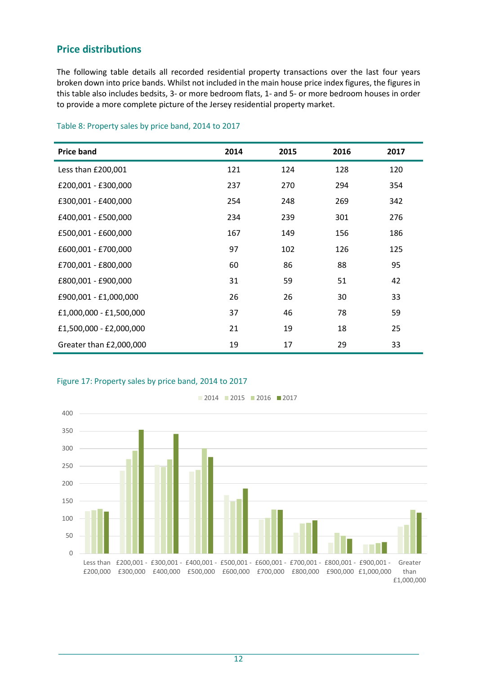### **Price distributions**

The following table details all recorded residential property transactions over the last four years broken down into price bands. Whilst not included in the main house price index figures, the figures in this table also includes bedsits, 3- or more bedroom flats, 1- and 5- or more bedroom houses in order to provide a more complete picture of the Jersey residential property market.

| <b>Price band</b>       | 2014 | 2015 | 2016 | 2017 |
|-------------------------|------|------|------|------|
| Less than £200,001      | 121  | 124  | 128  | 120  |
| £200,001 - £300,000     | 237  | 270  | 294  | 354  |
| £300,001 - £400,000     | 254  | 248  | 269  | 342  |
| £400,001 - £500,000     | 234  | 239  | 301  | 276  |
| £500,001 - £600,000     | 167  | 149  | 156  | 186  |
| £600,001 - £700,000     | 97   | 102  | 126  | 125  |
| £700,001 - £800,000     | 60   | 86   | 88   | 95   |
| £800,001 - £900,000     | 31   | 59   | 51   | 42   |
| £900,001 - £1,000,000   | 26   | 26   | 30   | 33   |
| £1,000,000 - £1,500,000 | 37   | 46   | 78   | 59   |
| £1,500,000 - £2,000,000 | 21   | 19   | 18   | 25   |
| Greater than £2,000,000 | 19   | 17   | 29   | 33   |

#### Table 8: Property sales by price band, 2014 to 2017

#### Figure 17: Property sales by price band, 2014 to 2017

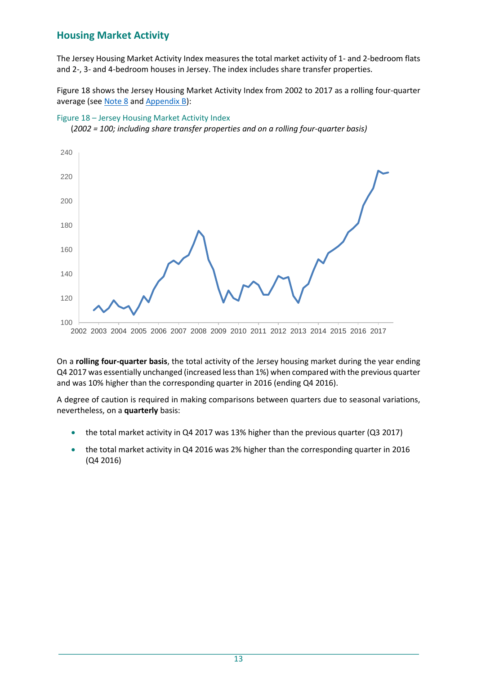### **Housing Market Activity**

The Jersey Housing Market Activity Index measures the total market activity of 1- and 2-bedroom flats and 2-, 3- and 4-bedroom houses in Jersey. The index includes share transfer properties.

Figure 18 shows the Jersey Housing Market Activity Index from 2002 to 2017 as a rolling four-quarter average (see [Note 8](#page-17-1) and Appendix B):

#### Figure 18 – Jersey Housing Market Activity Index

(*2002 = 100; including share transfer properties and on a rolling four-quarter basis)*



On a **rolling four-quarter basis**, the total activity of the Jersey housing market during the year ending Q4 2017 was essentially unchanged (increased less than 1%) when compared with the previous quarter and was 10% higher than the corresponding quarter in 2016 (ending Q4 2016).

A degree of caution is required in making comparisons between quarters due to seasonal variations, nevertheless, on a **quarterly** basis:

- the total market activity in Q4 2017 was 13% higher than the previous quarter (Q3 2017)
- the total market activity in Q4 2016 was 2% higher than the corresponding quarter in 2016 (Q4 2016)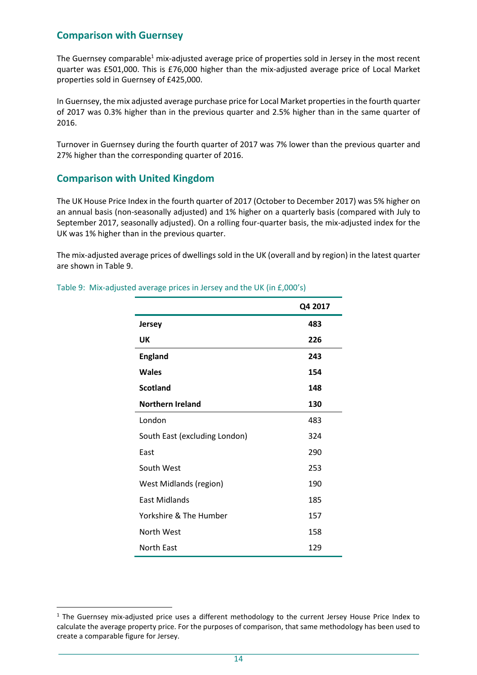### **Comparison with Guernsey**

The Guernsey comparable<sup>1</sup> mix-adjusted average price of properties sold in Jersey in the most recent quarter was £501,000. This is £76,000 higher than the mix-adjusted average price of Local Market properties sold in Guernsey of £425,000.

In Guernsey, the mix adjusted average purchase price for Local Market properties in the fourth quarter of 2017 was 0.3% higher than in the previous quarter and 2.5% higher than in the same quarter of 2016.

Turnover in Guernsey during the fourth quarter of 2017 was 7% lower than the previous quarter and 27% higher than the corresponding quarter of 2016.

### **Comparison with United Kingdom**

l

The UK House Price Index in the fourth quarter of 2017 (October to December 2017) was 5% higher on an annual basis (non-seasonally adjusted) and 1% higher on a quarterly basis (compared with July to September 2017, seasonally adjusted). On a rolling four-quarter basis, the mix-adjusted index for the UK was 1% higher than in the previous quarter.

The mix-adjusted average prices of dwellings sold in the UK (overall and by region) in the latest quarter are shown in Table 9.

|                               | Q4 2017 |
|-------------------------------|---------|
| <b>Jersey</b>                 | 483     |
| UK                            | 226     |
| <b>England</b>                | 243     |
| Wales                         | 154     |
| <b>Scotland</b>               | 148     |
| <b>Northern Ireland</b>       | 130     |
| London                        | 483     |
| South East (excluding London) | 324     |
| East                          | 290     |
| South West                    | 253     |
| West Midlands (region)        | 190     |
| <b>East Midlands</b>          | 185     |
| Yorkshire & The Humber        | 157     |
| North West                    | 158     |
| North East                    | 129     |

Table 9: Mix-adjusted average prices in Jersey and the UK (in £,000's)

 $1$  The Guernsey mix-adjusted price uses a different methodology to the current Jersey House Price Index to calculate the average property price. For the purposes of comparison, that same methodology has been used to create a comparable figure for Jersey.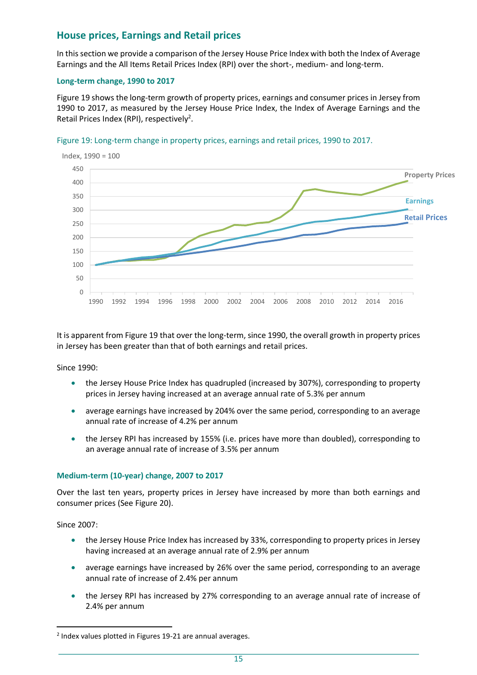### **House prices, Earnings and Retail prices**

In this section we provide a comparison of the Jersey House Price Index with both the Index of Average Earnings and the All Items Retail Prices Index (RPI) over the short-, medium- and long-term.

#### **Long-term change, 1990 to 2017**

Figure 19 shows the long-term growth of property prices, earnings and consumer prices in Jersey from 1990 to 2017, as measured by the Jersey House Price Index, the Index of Average Earnings and the Retail Prices Index (RPI), respectively<sup>2</sup>.

#### Figure 19: Long-term change in property prices, earnings and retail prices, 1990 to 2017.



It is apparent from Figure 19 that over the long-term, since 1990, the overall growth in property prices in Jersey has been greater than that of both earnings and retail prices.

Since 1990:

- the Jersey House Price Index has quadrupled (increased by 307%), corresponding to property prices in Jersey having increased at an average annual rate of 5.3% per annum
- average earnings have increased by 204% over the same period, corresponding to an average annual rate of increase of 4.2% per annum
- the Jersey RPI has increased by 155% (i.e. prices have more than doubled), corresponding to an average annual rate of increase of 3.5% per annum

#### **Medium-term (10-year) change, 2007 to 2017**

Over the last ten years, property prices in Jersey have increased by more than both earnings and consumer prices (See Figure 20).

Since 2007:

 $\overline{\phantom{a}}$ 

- the Jersey House Price Index has increased by 33%, corresponding to property prices in Jersey having increased at an average annual rate of 2.9% per annum
- average earnings have increased by 26% over the same period, corresponding to an average annual rate of increase of 2.4% per annum
- the Jersey RPI has increased by 27% corresponding to an average annual rate of increase of 2.4% per annum

<sup>&</sup>lt;sup>2</sup> Index values plotted in Figures 19-21 are annual averages.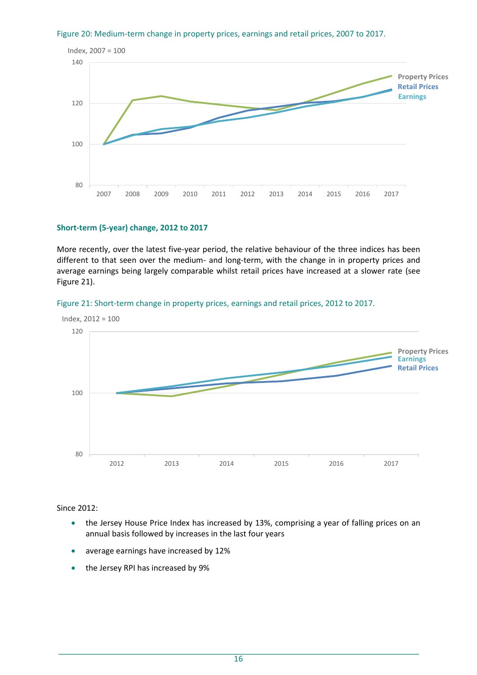

#### Figure 20: Medium-term change in property prices, earnings and retail prices, 2007 to 2017.

#### **Short-term (5-year) change, 2012 to 2017**

More recently, over the latest five-year period, the relative behaviour of the three indices has been different to that seen over the medium- and long-term, with the change in in property prices and average earnings being largely comparable whilst retail prices have increased at a slower rate (see Figure 21).

#### Figure 21: Short-term change in property prices, earnings and retail prices, 2012 to 2017.



Since 2012:

- the Jersey House Price Index has increased by 13%, comprising a year of falling prices on an annual basis followed by increases in the last four years
- average earnings have increased by 12%
- the Jersey RPI has increased by 9%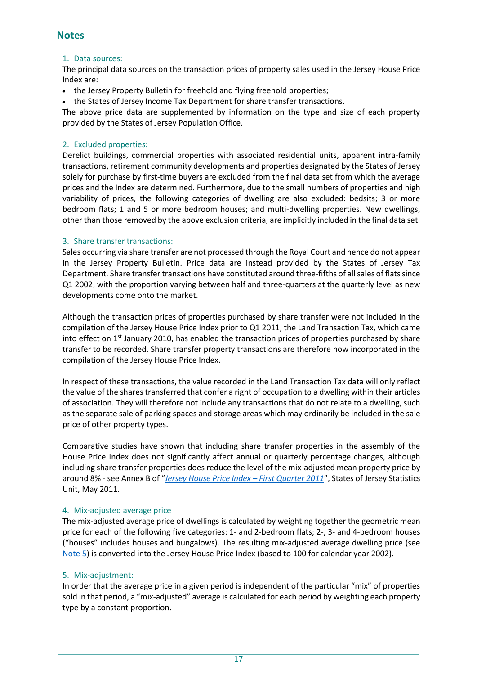### **Notes**

#### 1. Data sources:

The principal data sources on the transaction prices of property sales used in the Jersey House Price Index are:

- the Jersey Property Bulletin for freehold and flying freehold properties;
- the States of Jersey Income Tax Department for share transfer transactions.

The above price data are supplemented by information on the type and size of each property provided by the States of Jersey Population Office.

#### <span id="page-16-0"></span>2. Excluded properties:

Derelict buildings, commercial properties with associated residential units, apparent intra-family transactions, retirement community developments and properties designated by the States of Jersey solely for purchase by first-time buyers are excluded from the final data set from which the average prices and the Index are determined. Furthermore, due to the small numbers of properties and high variability of prices, the following categories of dwelling are also excluded: bedsits; 3 or more bedroom flats; 1 and 5 or more bedroom houses; and multi-dwelling properties. New dwellings, other than those removed by the above exclusion criteria, are implicitly included in the final data set.

#### <span id="page-16-1"></span>3. Share transfer transactions:

Sales occurring via share transfer are not processed through the Royal Court and hence do not appear in the Jersey Property Bulletin. Price data are instead provided by the States of Jersey Tax Department. Share transfer transactions have constituted around three-fifths of all sales of flats since Q1 2002, with the proportion varying between half and three-quarters at the quarterly level as new developments come onto the market.

Although the transaction prices of properties purchased by share transfer were not included in the compilation of the Jersey House Price Index prior to Q1 2011, the Land Transaction Tax, which came into effect on  $1<sup>st</sup>$  January 2010, has enabled the transaction prices of properties purchased by share transfer to be recorded. Share transfer property transactions are therefore now incorporated in the compilation of the Jersey House Price Index.

In respect of these transactions, the value recorded in the Land Transaction Tax data will only reflect the value of the shares transferred that confer a right of occupation to a dwelling within their articles of association. They will therefore not include any transactions that do not relate to a dwelling, such as the separate sale of parking spaces and storage areas which may ordinarily be included in the sale price of other property types.

Comparative studies have shown that including share transfer properties in the assembly of the House Price Index does not significantly affect annual or quarterly percentage changes, although including share transfer properties does reduce the level of the mix-adjusted mean property price by around 8% - see Annex B of "*[Jersey House Price Index](http://www.gov.je/SiteCollectionDocuments/Government%20and%20administration/R%20HousePriceIndexQ12011%2020110519%20SU.pdf) – First Quarter 2011*", States of Jersey Statistics Unit, May 2011.

#### 4. Mix-adjusted average price

The mix-adjusted average price of dwellings is calculated by weighting together the geometric mean price for each of the following five categories: 1- and 2-bedroom flats; 2-, 3- and 4-bedroom houses ("houses" includes houses and bungalows). The resulting mix-adjusted average dwelling price (see [Note 5\)](#page-16-2) is converted into the Jersey House Price Index (based to 100 for calendar year 2002).

### <span id="page-16-2"></span>5. Mix-adjustment:

In order that the average price in a given period is independent of the particular "mix" of properties sold in that period, a "mix-adjusted" average is calculated for each period by weighting each property type by a constant proportion.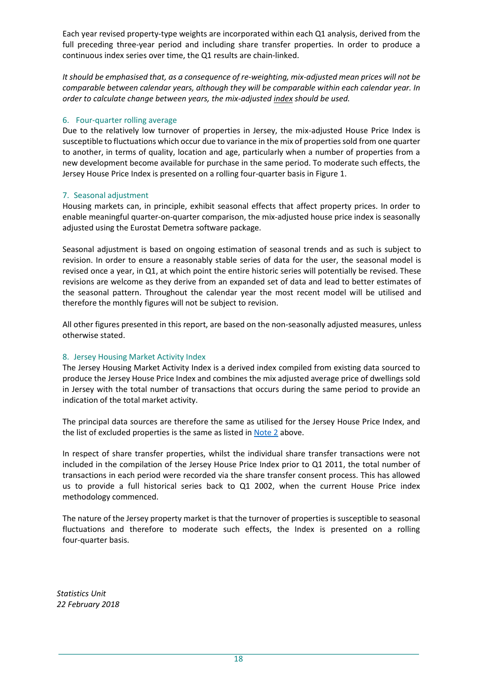Each year revised property-type weights are incorporated within each Q1 analysis, derived from the full preceding three-year period and including share transfer properties. In order to produce a continuous index series over time, the Q1 results are chain-linked.

*It should be emphasised that, as a consequence of re-weighting, mix-adjusted mean prices will not be comparable between calendar years, although they will be comparable within each calendar year. In order to calculate change between years, the mix-adjusted index should be used.*

#### <span id="page-17-0"></span>6. Four-quarter rolling average

Due to the relatively low turnover of properties in Jersey, the mix-adjusted House Price Index is susceptible to fluctuations which occur due to variance in the mix of properties sold from one quarter to another, in terms of quality, location and age, particularly when a number of properties from a new development become available for purchase in the same period. To moderate such effects, the Jersey House Price Index is presented on a rolling four-quarter basis in Figure 1.

### 7. Seasonal adjustment

Housing markets can, in principle, exhibit seasonal effects that affect property prices. In order to enable meaningful quarter-on-quarter comparison, the mix-adjusted house price index is seasonally adjusted using the Eurostat Demetra software package.

Seasonal adjustment is based on ongoing estimation of seasonal trends and as such is subject to revision. In order to ensure a reasonably stable series of data for the user, the seasonal model is revised once a year, in Q1, at which point the entire historic series will potentially be revised. These revisions are welcome as they derive from an expanded set of data and lead to better estimates of the seasonal pattern. Throughout the calendar year the most recent model will be utilised and therefore the monthly figures will not be subject to revision.

All other figures presented in this report, are based on the non-seasonally adjusted measures, unless otherwise stated.

### <span id="page-17-1"></span>8. Jersey Housing Market Activity Index

The Jersey Housing Market Activity Index is a derived index compiled from existing data sourced to produce the Jersey House Price Index and combines the mix adjusted average price of dwellings sold in Jersey with the total number of transactions that occurs during the same period to provide an indication of the total market activity.

The principal data sources are therefore the same as utilised for the Jersey House Price Index, and the list of excluded properties is the same as listed in **Note 2** above.

In respect of share transfer properties, whilst the individual share transfer transactions were not included in the compilation of the Jersey House Price Index prior to Q1 2011, the total number of transactions in each period were recorded via the share transfer consent process. This has allowed us to provide a full historical series back to Q1 2002, when the current House Price index methodology commenced.

The nature of the Jersey property market is that the turnover of properties is susceptible to seasonal fluctuations and therefore to moderate such effects, the Index is presented on a rolling four-quarter basis.

*Statistics Unit 22 February 2018*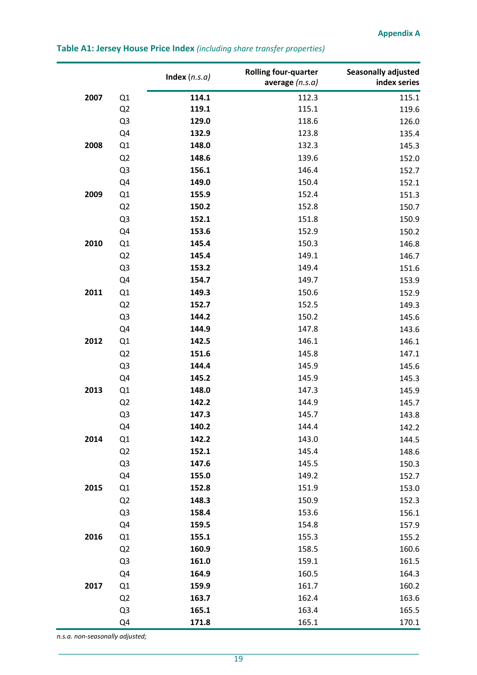### **Appendix A**

|      |                | Index $(n.s.a)$ | <b>Rolling four-quarter</b><br>average $(n.s.a)$ | <b>Seasonally adjusted</b><br>index series |
|------|----------------|-----------------|--------------------------------------------------|--------------------------------------------|
| 2007 | Q1             | 114.1           | 112.3                                            | 115.1                                      |
|      | Q2             | 119.1           | 115.1                                            | 119.6                                      |
|      | Q <sub>3</sub> | 129.0           | 118.6                                            | 126.0                                      |
|      | Q4             | 132.9           | 123.8                                            | 135.4                                      |
| 2008 | Q1             | 148.0           | 132.3                                            | 145.3                                      |
|      | Q <sub>2</sub> | 148.6           | 139.6                                            | 152.0                                      |
|      | Q <sub>3</sub> | 156.1           | 146.4                                            | 152.7                                      |
|      | Q4             | 149.0           | 150.4                                            | 152.1                                      |
| 2009 | Q1             | 155.9           | 152.4                                            | 151.3                                      |
|      | Q <sub>2</sub> | 150.2           | 152.8                                            | 150.7                                      |
|      | Q <sub>3</sub> | 152.1           | 151.8                                            | 150.9                                      |
|      | Q4             | 153.6           | 152.9                                            | 150.2                                      |
| 2010 | Q1             | 145.4           | 150.3                                            | 146.8                                      |
|      | Q2             | 145.4           | 149.1                                            | 146.7                                      |
|      | Q3             | 153.2           | 149.4                                            | 151.6                                      |
|      | Q4             | 154.7           | 149.7                                            | 153.9                                      |
| 2011 | Q1             | 149.3           | 150.6                                            | 152.9                                      |
|      | Q2             | 152.7           | 152.5                                            | 149.3                                      |
|      | Q <sub>3</sub> | 144.2           | 150.2                                            | 145.6                                      |
|      | Q4             | 144.9           | 147.8                                            | 143.6                                      |
| 2012 | Q1             | 142.5           | 146.1                                            | 146.1                                      |
|      | Q2             | 151.6           | 145.8                                            | 147.1                                      |
|      | Q <sub>3</sub> | 144.4           | 145.9                                            | 145.6                                      |
|      | Q4             | 145.2           | 145.9                                            | 145.3                                      |
| 2013 | Q1             | 148.0           | 147.3                                            | 145.9                                      |
|      | Q2             | 142.2           | 144.9                                            | 145.7                                      |
|      | Q <sub>3</sub> | 147.3           | 145.7                                            | 143.8                                      |
|      | Q4             | 140.2           | 144.4                                            | 142.2                                      |
| 2014 | Q1             | 142.2           | 143.0                                            | 144.5                                      |
|      | Q2             | 152.1           | 145.4                                            | 148.6                                      |
|      | Q <sub>3</sub> | 147.6           | 145.5                                            | 150.3                                      |
|      | Q4             | 155.0           | 149.2                                            | 152.7                                      |
| 2015 | Q1             | 152.8           | 151.9                                            | 153.0                                      |
|      | Q2             | 148.3           | 150.9                                            | 152.3                                      |
|      | Q <sub>3</sub> | 158.4           | 153.6                                            | 156.1                                      |
|      | Q4             | 159.5           | 154.8                                            | 157.9                                      |
| 2016 | Q1             | 155.1           | 155.3                                            | 155.2                                      |
|      | Q2             | 160.9           | 158.5                                            | 160.6                                      |
|      | Q <sub>3</sub> | 161.0           | 159.1                                            | 161.5                                      |
|      | Q4             | 164.9           | 160.5                                            | 164.3                                      |
| 2017 | Q1             | 159.9           | 161.7                                            | 160.2                                      |
|      | Q2             | 163.7           | 162.4                                            | 163.6                                      |
|      | Q <sub>3</sub> | 165.1           | 163.4                                            | 165.5                                      |
|      | Q4             | 171.8           | 165.1                                            | 170.1                                      |

### <span id="page-18-0"></span>**Table A1: Jersey House Price Index** *(including share transfer properties)*

*n.s.a. non-seasonally adjusted;*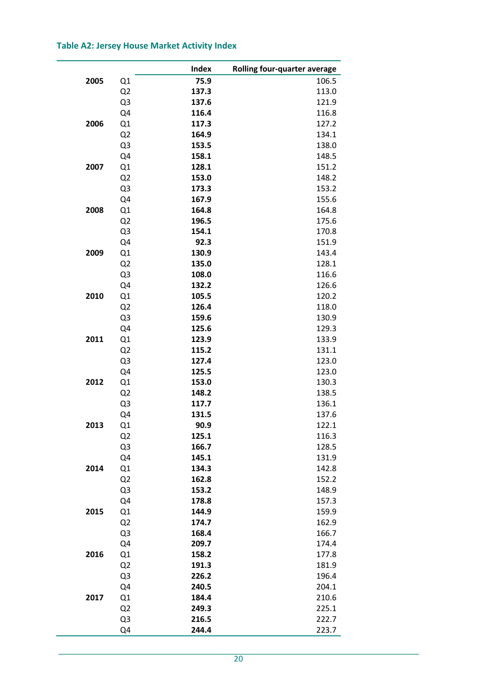### **Table A2: Jersey House Market Activity Index**

|      |                      | <b>Index</b>   | Rolling four-quarter average |
|------|----------------------|----------------|------------------------------|
| 2005 | Q1                   | 75.9           | 106.5                        |
|      | Q <sub>2</sub>       | 137.3          | 113.0                        |
|      | Q3                   | 137.6          | 121.9                        |
|      | Q4                   | 116.4          | 116.8                        |
| 2006 | Q1                   | 117.3          | 127.2                        |
|      | Q <sub>2</sub>       | 164.9          | 134.1                        |
|      | Q3                   | 153.5          | 138.0                        |
|      | Q4                   | 158.1          | 148.5                        |
| 2007 | Q1                   | 128.1          | 151.2                        |
|      | Q <sub>2</sub>       | 153.0          | 148.2                        |
|      | Q3                   | 173.3          | 153.2                        |
|      | Q4                   | 167.9          | 155.6                        |
| 2008 | Q1                   | 164.8          | 164.8                        |
|      | Q <sub>2</sub>       | 196.5          | 175.6                        |
|      | Q3                   | 154.1          | 170.8                        |
|      | Q4                   | 92.3           | 151.9                        |
| 2009 | Q1                   | 130.9          | 143.4                        |
|      | Q <sub>2</sub>       | 135.0          | 128.1                        |
|      | Q3                   | 108.0          | 116.6                        |
|      | Q4                   | 132.2          | 126.6                        |
| 2010 | Q1                   | 105.5          | 120.2                        |
|      | Q <sub>2</sub>       | 126.4          | 118.0                        |
|      | Q3                   | 159.6          | 130.9                        |
|      | Q4                   | 125.6          | 129.3                        |
| 2011 | Q1                   | 123.9          | 133.9                        |
|      | Q <sub>2</sub>       | 115.2          | 131.1                        |
|      | Q3                   | 127.4          | 123.0                        |
|      | Q4                   | 125.5          | 123.0                        |
| 2012 | Q1                   | 153.0          | 130.3                        |
|      | Q <sub>2</sub>       | 148.2          | 138.5                        |
|      | Q3                   | 117.7          | 136.1                        |
|      | Q4                   | 131.5          | 137.6                        |
| 2013 | Q1                   | 90.9           | 122.1                        |
|      | Q <sub>2</sub><br>Q3 | 125.1<br>166.7 | 116.3<br>128.5               |
|      | Q4                   | 145.1          | 131.9                        |
| 2014 | Q1                   | 134.3          | 142.8                        |
|      | Q <sub>2</sub>       | 162.8          | 152.2                        |
|      | Q3                   | 153.2          | 148.9                        |
|      | Q4                   | 178.8          | 157.3                        |
| 2015 | Q1                   | 144.9          | 159.9                        |
|      | Q <sub>2</sub>       | 174.7          | 162.9                        |
|      | Q3                   | 168.4          | 166.7                        |
|      | Q4                   | 209.7          | 174.4                        |
| 2016 | Q1                   | 158.2          | 177.8                        |
|      | Q <sub>2</sub>       | 191.3          | 181.9                        |
|      | Q3                   | 226.2          | 196.4                        |
|      | Q4                   | 240.5          | 204.1                        |
| 2017 | Q1                   | 184.4          | 210.6                        |
|      | Q <sub>2</sub>       | 249.3          | 225.1                        |
|      | Q3                   | 216.5          | 222.7                        |
|      | Q4                   | 244.4          | 223.7                        |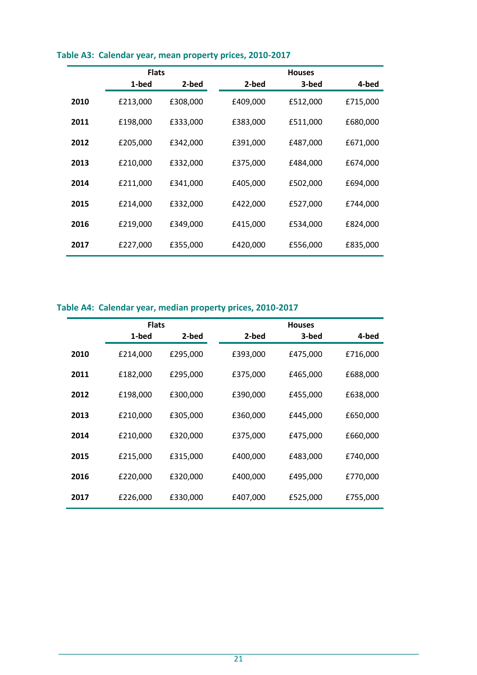|      | <b>Flats</b> |          | <b>Houses</b> |          |          |  |
|------|--------------|----------|---------------|----------|----------|--|
|      | 1-bed        | 2-bed    | 2-bed         | 3-bed    | 4-bed    |  |
| 2010 | £213,000     | £308,000 | £409,000      | £512,000 | £715,000 |  |
| 2011 | £198,000     | £333,000 | £383,000      | £511,000 | £680,000 |  |
| 2012 | £205,000     | £342,000 | £391,000      | £487,000 | £671,000 |  |
| 2013 | £210,000     | £332,000 | £375,000      | £484,000 | £674,000 |  |
| 2014 | £211,000     | £341,000 | £405,000      | £502,000 | £694,000 |  |
| 2015 | £214,000     | £332,000 | £422,000      | £527,000 | £744,000 |  |
| 2016 | £219,000     | £349,000 | £415,000      | £534,000 | £824,000 |  |
| 2017 | £227,000     | £355,000 | £420,000      | £556,000 | £835,000 |  |

### **Table A3: Calendar year, mean property prices, 2010-2017**

### **Table A4: Calendar year, median property prices, 2010-2017**

|      | <b>Flats</b> |          | <b>Houses</b> |          |  |          |  |          |
|------|--------------|----------|---------------|----------|--|----------|--|----------|
|      | 1-bed        | 2-bed    |               | 2-bed    |  | 3-bed    |  | 4-bed    |
| 2010 | £214,000     | £295,000 |               | £393,000 |  | £475,000 |  | £716,000 |
| 2011 | £182,000     | £295,000 |               | £375,000 |  | £465,000 |  | £688,000 |
| 2012 | £198,000     | £300,000 |               | £390,000 |  | £455,000 |  | £638,000 |
| 2013 | £210,000     | £305,000 |               | £360,000 |  | £445,000 |  | £650,000 |
| 2014 | £210,000     | £320,000 |               | £375,000 |  | £475,000 |  | £660,000 |
| 2015 | £215,000     | £315,000 |               | £400,000 |  | £483,000 |  | £740,000 |
| 2016 | £220,000     | £320,000 |               | £400,000 |  | £495,000 |  | £770,000 |
| 2017 | £226,000     | £330,000 |               | £407,000 |  | £525,000 |  | £755,000 |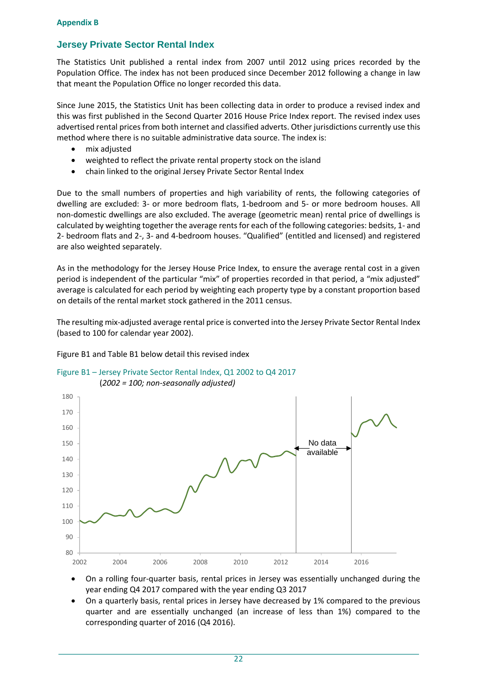#### **Appendix B**

### **Jersey Private Sector Rental Index**

The Statistics Unit published a rental index from 2007 until 2012 using prices recorded by the Population Office. The index has not been produced since December 2012 following a change in law that meant the Population Office no longer recorded this data.

Since June 2015, the Statistics Unit has been collecting data in order to produce a revised index and this was first published in the Second Quarter 2016 House Price Index report. The revised index uses advertised rental prices from both internet and classified adverts. Other jurisdictions currently use this method where there is no suitable administrative data source. The index is:

- mix adjusted
- weighted to reflect the private rental property stock on the island
- chain linked to the original Jersey Private Sector Rental Index

Due to the small numbers of properties and high variability of rents, the following categories of dwelling are excluded: 3- or more bedroom flats, 1-bedroom and 5- or more bedroom houses. All non-domestic dwellings are also excluded. The average (geometric mean) rental price of dwellings is calculated by weighting together the average rents for each of the following categories: bedsits, 1- and 2- bedroom flats and 2-, 3- and 4-bedroom houses. "Qualified" (entitled and licensed) and registered are also weighted separately.

As in the methodology for the Jersey House Price Index, to ensure the average rental cost in a given period is independent of the particular "mix" of properties recorded in that period, a "mix adjusted" average is calculated for each period by weighting each property type by a constant proportion based on details of the rental market stock gathered in the 2011 census.

The resulting mix-adjusted average rental price is converted into the Jersey Private Sector Rental Index (based to 100 for calendar year 2002).

Figure B1 and Table B1 below detail this revised index



## Figure B1 – Jersey Private Sector Rental Index, Q1 2002 to Q4 2017

- On a rolling four-quarter basis, rental prices in Jersey was essentially unchanged during the year ending Q4 2017 compared with the year ending Q3 2017
- On a quarterly basis, rental prices in Jersey have decreased by 1% compared to the previous quarter and are essentially unchanged (an increase of less than 1%) compared to the corresponding quarter of 2016 (Q4 2016).